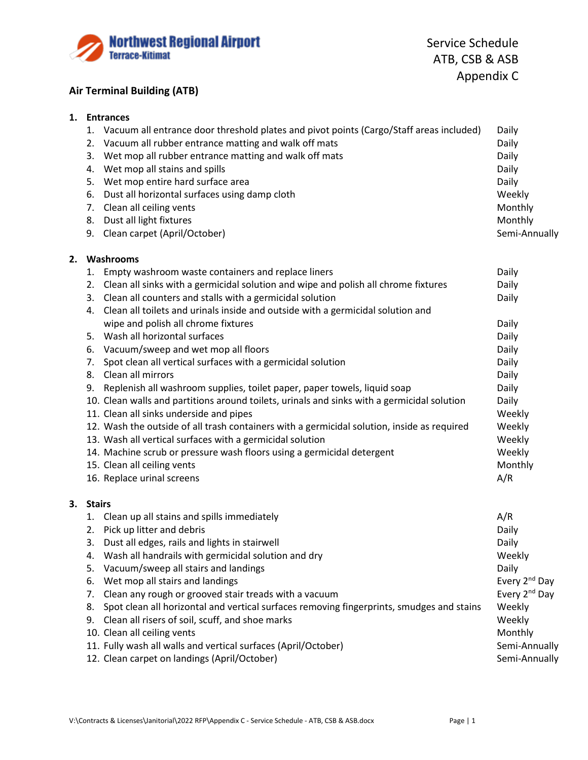

## **Air Terminal Building (ATB)**

## **1. Entrances**

|    |           | 1. Vacuum all entrance door threshold plates and pivot points (Cargo/Staff areas included)  | Daily                     |
|----|-----------|---------------------------------------------------------------------------------------------|---------------------------|
|    |           | 2. Vacuum all rubber entrance matting and walk off mats                                     | Daily                     |
|    |           | 3. Wet mop all rubber entrance matting and walk off mats                                    | Daily                     |
|    |           | 4. Wet mop all stains and spills                                                            | Daily                     |
|    | 5.        | Wet mop entire hard surface area                                                            | Daily                     |
|    | 6.        | Dust all horizontal surfaces using damp cloth                                               | Weekly                    |
|    |           | 7. Clean all ceiling vents                                                                  | Monthly                   |
|    |           | 8. Dust all light fixtures                                                                  | Monthly                   |
|    |           | 9. Clean carpet (April/October)                                                             | Semi-Annually             |
| 2. |           | Washrooms                                                                                   |                           |
|    |           | 1. Empty washroom waste containers and replace liners                                       | Daily                     |
|    |           | 2. Clean all sinks with a germicidal solution and wipe and polish all chrome fixtures       | Daily                     |
|    |           | 3. Clean all counters and stalls with a germicidal solution                                 | Daily                     |
|    |           | 4. Clean all toilets and urinals inside and outside with a germicidal solution and          |                           |
|    |           | wipe and polish all chrome fixtures                                                         | Daily                     |
|    |           | 5. Wash all horizontal surfaces                                                             | Daily                     |
|    |           | 6. Vacuum/sweep and wet mop all floors                                                      | Daily                     |
|    |           | 7. Spot clean all vertical surfaces with a germicidal solution                              | Daily                     |
|    |           | 8. Clean all mirrors                                                                        | Daily                     |
|    |           | 9. Replenish all washroom supplies, toilet paper, paper towels, liquid soap                 | Daily                     |
|    |           | 10. Clean walls and partitions around toilets, urinals and sinks with a germicidal solution | Daily                     |
|    |           | 11. Clean all sinks underside and pipes                                                     | Weekly                    |
|    |           | 12. Wash the outside of all trash containers with a germicidal solution, inside as required | Weekly                    |
|    |           | 13. Wash all vertical surfaces with a germicidal solution                                   | Weekly                    |
|    |           | 14. Machine scrub or pressure wash floors using a germicidal detergent                      | Weekly                    |
|    |           | 15. Clean all ceiling vents                                                                 | Monthly                   |
|    |           | 16. Replace urinal screens                                                                  | A/R                       |
|    | 3. Stairs |                                                                                             |                           |
|    |           | 1. Clean up all stains and spills immediately                                               | A/R                       |
|    |           | 2. Pick up litter and debris                                                                | Daily                     |
|    |           | 3. Dust all edges, rails and lights in stairwell                                            | Daily                     |
|    | 4.        | Wash all handrails with germicidal solution and dry                                         | Weekly                    |
|    | 5.        | Vacuum/sweep all stairs and landings                                                        | Daily                     |
|    | 6.        | Wet mop all stairs and landings                                                             | Every 2 <sup>nd</sup> Day |
|    | 7.        | Clean any rough or grooved stair treads with a vacuum                                       | Every 2 <sup>nd</sup> Day |
|    | 8.        | Spot clean all horizontal and vertical surfaces removing fingerprints, smudges and stains   | Weekly                    |
|    | 9.        | Clean all risers of soil, scuff, and shoe marks                                             | Weekly                    |

10. Clean all ceiling vents **Monthly** 11. Fully wash all walls and vertical surfaces (April/October) Semi-Annually 12. Clean carpet on landings (April/October) and the state of the Semi-Annually Semi-Annually

V:\Contracts & Licenses\Janitorial\2022 RFP\Appendix C - Service Schedule - ATB, CSB & ASB.docx Page | 1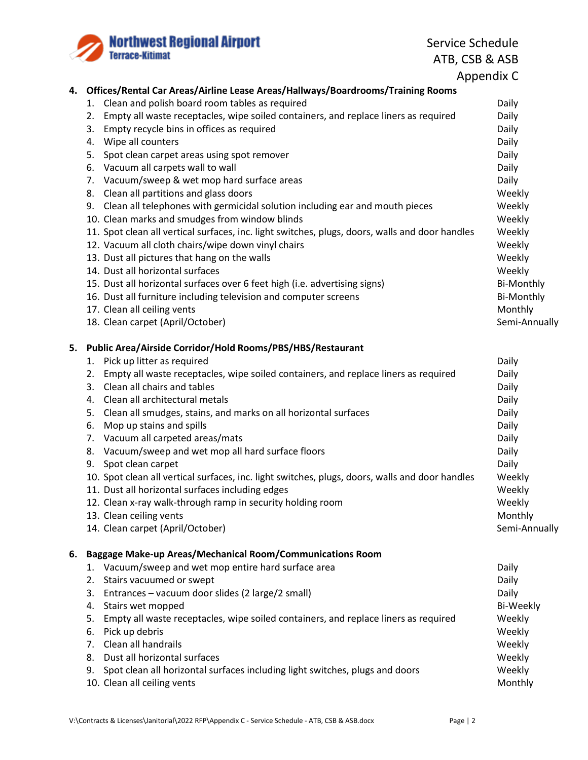

Service Schedule ATB, CSB & ASB

Appendix C

|    | 4. Offices/Rental Car Areas/Airline Lease Areas/Hallways/Boardrooms/Training Rooms              |                   |
|----|-------------------------------------------------------------------------------------------------|-------------------|
|    | 1. Clean and polish board room tables as required                                               | Daily             |
|    | Empty all waste receptacles, wipe soiled containers, and replace liners as required<br>2.       | Daily             |
|    | 3. Empty recycle bins in offices as required                                                    | Daily             |
|    | 4. Wipe all counters                                                                            | Daily             |
|    | 5. Spot clean carpet areas using spot remover                                                   | Daily             |
|    | 6. Vacuum all carpets wall to wall                                                              | Daily             |
|    | 7. Vacuum/sweep & wet mop hard surface areas                                                    | Daily             |
|    | 8. Clean all partitions and glass doors                                                         | Weekly            |
|    | 9. Clean all telephones with germicidal solution including ear and mouth pieces                 | Weekly            |
|    | 10. Clean marks and smudges from window blinds                                                  | Weekly            |
|    | 11. Spot clean all vertical surfaces, inc. light switches, plugs, doors, walls and door handles | Weekly            |
|    | 12. Vacuum all cloth chairs/wipe down vinyl chairs                                              | Weekly            |
|    | 13. Dust all pictures that hang on the walls                                                    | Weekly            |
|    | 14. Dust all horizontal surfaces                                                                | Weekly            |
|    | 15. Dust all horizontal surfaces over 6 feet high (i.e. advertising signs)                      | <b>Bi-Monthly</b> |
|    | 16. Dust all furniture including television and computer screens                                | <b>Bi-Monthly</b> |
|    | 17. Clean all ceiling vents                                                                     | Monthly           |
|    | 18. Clean carpet (April/October)                                                                | Semi-Annually     |
|    | 5. Public Area/Airside Corridor/Hold Rooms/PBS/HBS/Restaurant                                   |                   |
|    | 1. Pick up litter as required                                                                   | Daily             |
|    | 2. Empty all waste receptacles, wipe soiled containers, and replace liners as required          | Daily             |
|    | 3. Clean all chairs and tables                                                                  | Daily             |
|    | 4. Clean all architectural metals                                                               | Daily             |
|    | 5. Clean all smudges, stains, and marks on all horizontal surfaces                              | Daily             |
|    | 6. Mop up stains and spills                                                                     | Daily             |
|    | 7. Vacuum all carpeted areas/mats                                                               | Daily             |
|    | 8. Vacuum/sweep and wet mop all hard surface floors                                             | Daily             |
|    | 9. Spot clean carpet                                                                            | Daily             |
|    | 10. Spot clean all vertical surfaces, inc. light switches, plugs, doors, walls and door handles | Weekly            |
|    | 11. Dust all horizontal surfaces including edges                                                | Weekly            |
|    | 12. Clean x-ray walk-through ramp in security holding room                                      | Weekly            |
|    | 13. Clean ceiling vents                                                                         | Monthly           |
|    | 14. Clean carpet (April/October)                                                                | Semi-Annually     |
| 6. | Baggage Make-up Areas/Mechanical Room/Communications Room                                       |                   |
|    | 1. Vacuum/sweep and wet mop entire hard surface area                                            | Daily             |
|    | Stairs vacuumed or swept<br>2.                                                                  | Daily             |
|    | 3. Entrances - vacuum door slides (2 large/2 small)                                             | Daily             |
|    | 4. Stairs wet mopped                                                                            | <b>Bi-Weekly</b>  |
|    | 5. Empty all waste receptacles, wipe soiled containers, and replace liners as required          | Weekly            |
|    | 6. Pick up debris                                                                               | Weekly            |
|    | 7. Clean all handrails                                                                          | Weekly            |
|    | 8. Dust all horizontal surfaces                                                                 | Weekly            |
|    | 9. Spot clean all horizontal surfaces including light switches, plugs and doors                 | Weekly            |
|    | 10. Clean all ceiling vents                                                                     | Monthly           |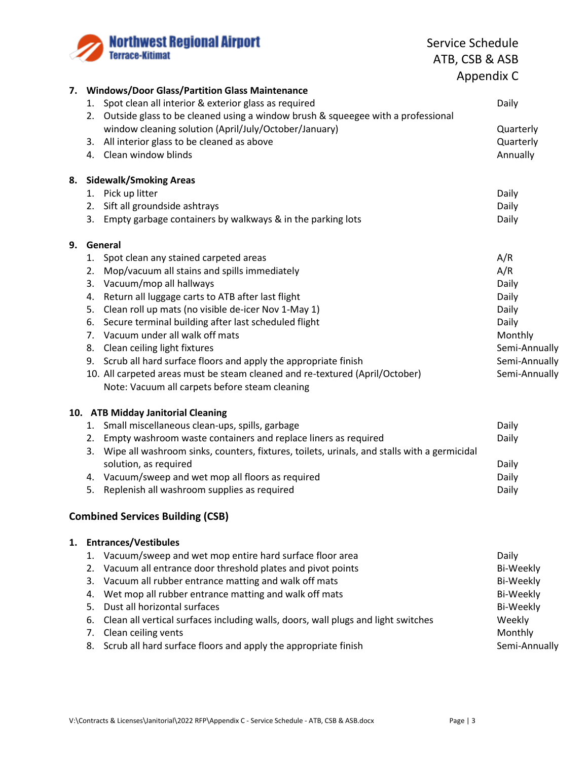**Northwest Regional Airport**<br>Terrace-Kitimat

Service Schedule ATB, CSB & ASB Appendix C

| 7. | <b>Windows/Door Glass/Partition Glass Maintenance</b>                                             |                  |  |  |  |  |
|----|---------------------------------------------------------------------------------------------------|------------------|--|--|--|--|
|    | 1. Spot clean all interior & exterior glass as required                                           | Daily            |  |  |  |  |
|    | Outside glass to be cleaned using a window brush & squeegee with a professional<br>2.             |                  |  |  |  |  |
|    | window cleaning solution (April/July/October/January)                                             | Quarterly        |  |  |  |  |
|    | 3. All interior glass to be cleaned as above                                                      | Quarterly        |  |  |  |  |
|    | 4. Clean window blinds                                                                            | Annually         |  |  |  |  |
|    |                                                                                                   |                  |  |  |  |  |
| 8. | <b>Sidewalk/Smoking Areas</b>                                                                     |                  |  |  |  |  |
|    | 1. Pick up litter                                                                                 | Daily            |  |  |  |  |
|    | 2. Sift all groundside ashtrays                                                                   | Daily            |  |  |  |  |
|    |                                                                                                   |                  |  |  |  |  |
|    | 3. Empty garbage containers by walkways & in the parking lots                                     | Daily            |  |  |  |  |
| 9. | General                                                                                           |                  |  |  |  |  |
|    | 1. Spot clean any stained carpeted areas                                                          | A/R              |  |  |  |  |
|    | Mop/vacuum all stains and spills immediately<br>2.                                                | A/R              |  |  |  |  |
|    | Vacuum/mop all hallways<br>3.                                                                     | Daily            |  |  |  |  |
|    | Return all luggage carts to ATB after last flight<br>4.                                           | Daily            |  |  |  |  |
|    | Clean roll up mats (no visible de-icer Nov 1-May 1)<br>5.                                         | Daily            |  |  |  |  |
|    | Secure terminal building after last scheduled flight<br>6.                                        | Daily            |  |  |  |  |
|    | 7. Vacuum under all walk off mats                                                                 | Monthly          |  |  |  |  |
|    | 8. Clean ceiling light fixtures                                                                   | Semi-Annually    |  |  |  |  |
|    | 9. Scrub all hard surface floors and apply the appropriate finish                                 | Semi-Annually    |  |  |  |  |
|    |                                                                                                   |                  |  |  |  |  |
|    | 10. All carpeted areas must be steam cleaned and re-textured (April/October)                      | Semi-Annually    |  |  |  |  |
|    | Note: Vacuum all carpets before steam cleaning                                                    |                  |  |  |  |  |
|    | 10. ATB Midday Janitorial Cleaning                                                                |                  |  |  |  |  |
|    | 1. Small miscellaneous clean-ups, spills, garbage                                                 | Daily            |  |  |  |  |
|    | 2. Empty washroom waste containers and replace liners as required                                 | Daily            |  |  |  |  |
|    | Wipe all washroom sinks, counters, fixtures, toilets, urinals, and stalls with a germicidal<br>3. |                  |  |  |  |  |
|    | solution, as required                                                                             | Daily            |  |  |  |  |
|    | 4. Vacuum/sweep and wet mop all floors as required                                                | Daily            |  |  |  |  |
|    | Replenish all washroom supplies as required<br>5.                                                 | Daily            |  |  |  |  |
|    |                                                                                                   |                  |  |  |  |  |
|    | <b>Combined Services Building (CSB)</b>                                                           |                  |  |  |  |  |
|    |                                                                                                   |                  |  |  |  |  |
| 1. | <b>Entrances/Vestibules</b>                                                                       |                  |  |  |  |  |
|    | 1. Vacuum/sweep and wet mop entire hard surface floor area                                        | Daily            |  |  |  |  |
|    | 2. Vacuum all entrance door threshold plates and pivot points                                     | <b>Bi-Weekly</b> |  |  |  |  |
|    | 3. Vacuum all rubber entrance matting and walk off mats                                           | Bi-Weekly        |  |  |  |  |
|    | Wet mop all rubber entrance matting and walk off mats<br>4.                                       | <b>Bi-Weekly</b> |  |  |  |  |
|    | Dust all horizontal surfaces<br>5.                                                                | <b>Bi-Weekly</b> |  |  |  |  |
|    | Clean all vertical surfaces including walls, doors, wall plugs and light switches<br>6.           | Weekly           |  |  |  |  |
|    | 7. Clean ceiling vents                                                                            | Monthly          |  |  |  |  |
|    | Scrub all hard surface floors and apply the appropriate finish<br>8.                              | Semi-Annually    |  |  |  |  |
|    |                                                                                                   |                  |  |  |  |  |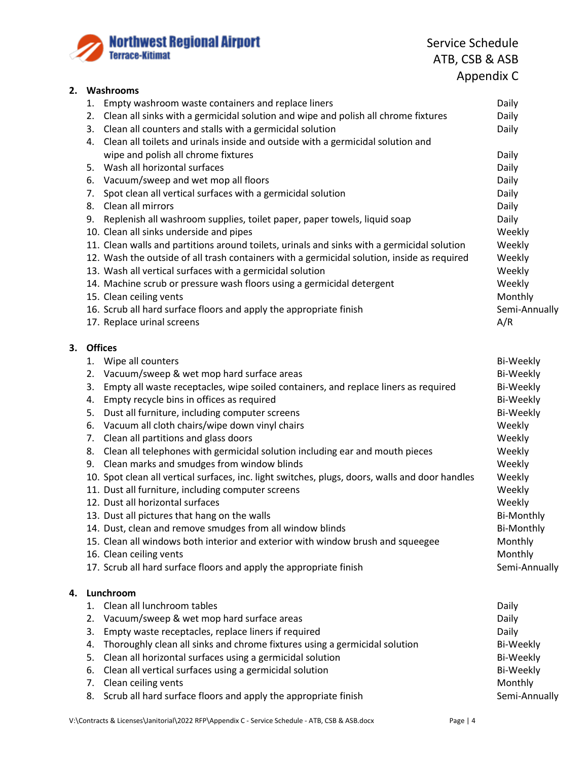

Service Schedule ATB, CSB & ASB Appendix C

| 2. | Washrooms                                                                                       |                   |  |  |  |
|----|-------------------------------------------------------------------------------------------------|-------------------|--|--|--|
|    | Empty washroom waste containers and replace liners<br>1.                                        | Daily             |  |  |  |
|    | 2. Clean all sinks with a germicidal solution and wipe and polish all chrome fixtures           | Daily             |  |  |  |
|    | 3. Clean all counters and stalls with a germicidal solution                                     | Daily             |  |  |  |
|    | 4. Clean all toilets and urinals inside and outside with a germicidal solution and              |                   |  |  |  |
|    | wipe and polish all chrome fixtures                                                             | Daily             |  |  |  |
|    | 5. Wash all horizontal surfaces                                                                 | Daily             |  |  |  |
|    | 6. Vacuum/sweep and wet mop all floors                                                          | Daily             |  |  |  |
|    | 7. Spot clean all vertical surfaces with a germicidal solution                                  | Daily             |  |  |  |
|    | 8. Clean all mirrors                                                                            | Daily             |  |  |  |
|    | 9. Replenish all washroom supplies, toilet paper, paper towels, liquid soap                     | Daily             |  |  |  |
|    | 10. Clean all sinks underside and pipes                                                         | Weekly            |  |  |  |
|    | 11. Clean walls and partitions around toilets, urinals and sinks with a germicidal solution     | Weekly            |  |  |  |
|    | 12. Wash the outside of all trash containers with a germicidal solution, inside as required     | Weekly            |  |  |  |
|    | 13. Wash all vertical surfaces with a germicidal solution                                       | Weekly            |  |  |  |
|    | 14. Machine scrub or pressure wash floors using a germicidal detergent                          | Weekly            |  |  |  |
|    | 15. Clean ceiling vents                                                                         | Monthly           |  |  |  |
|    | 16. Scrub all hard surface floors and apply the appropriate finish                              | Semi-Annually     |  |  |  |
|    | 17. Replace urinal screens                                                                      | A/R               |  |  |  |
|    |                                                                                                 |                   |  |  |  |
| 3. | <b>Offices</b>                                                                                  |                   |  |  |  |
|    | 1. Wipe all counters                                                                            | Bi-Weekly         |  |  |  |
|    | 2. Vacuum/sweep & wet mop hard surface areas                                                    | Bi-Weekly         |  |  |  |
|    | Empty all waste receptacles, wipe soiled containers, and replace liners as required<br>3.       | Bi-Weekly         |  |  |  |
|    | Empty recycle bins in offices as required<br>4.                                                 | Bi-Weekly         |  |  |  |
|    | Dust all furniture, including computer screens<br>5.                                            | Bi-Weekly         |  |  |  |
|    | 6. Vacuum all cloth chairs/wipe down vinyl chairs                                               | Weekly            |  |  |  |
|    | 7. Clean all partitions and glass doors                                                         | Weekly            |  |  |  |
|    | 8. Clean all telephones with germicidal solution including ear and mouth pieces                 | Weekly            |  |  |  |
|    | 9. Clean marks and smudges from window blinds                                                   | Weekly            |  |  |  |
|    | 10. Spot clean all vertical surfaces, inc. light switches, plugs, doors, walls and door handles | Weekly            |  |  |  |
|    | 11. Dust all furniture, including computer screens                                              | Weekly            |  |  |  |
|    | 12. Dust all horizontal surfaces                                                                | Weekly            |  |  |  |
|    | 13. Dust all pictures that hang on the walls                                                    | <b>Bi-Monthly</b> |  |  |  |
|    | 14. Dust, clean and remove smudges from all window blinds                                       | <b>Bi-Monthly</b> |  |  |  |
|    | 15. Clean all windows both interior and exterior with window brush and squeegee                 | Monthly           |  |  |  |
|    | 16. Clean ceiling vents                                                                         | Monthly           |  |  |  |
|    | 17. Scrub all hard surface floors and apply the appropriate finish                              | Semi-Annually     |  |  |  |
|    |                                                                                                 |                   |  |  |  |
| 4. | Lunchroom                                                                                       |                   |  |  |  |
|    | 1. Clean all lunchroom tables                                                                   | Daily             |  |  |  |
|    | Vacuum/sweep & wet mop hard surface areas<br>2.                                                 | Daily             |  |  |  |
|    | Empty waste receptacles, replace liners if required<br>3.                                       | Daily             |  |  |  |
|    | Thoroughly clean all sinks and chrome fixtures using a germicidal solution<br>4.                | <b>Bi-Weekly</b>  |  |  |  |
|    | Clean all horizontal surfaces using a germicidal solution<br>5.                                 | Bi-Weekly         |  |  |  |
|    | Clean all vertical surfaces using a germicidal solution<br>6.                                   | Bi-Weekly         |  |  |  |
|    | Clean ceiling vents<br>7.                                                                       | Monthly           |  |  |  |
|    |                                                                                                 |                   |  |  |  |

8. Scrub all hard surface floors and apply the appropriate finish Semi-Annually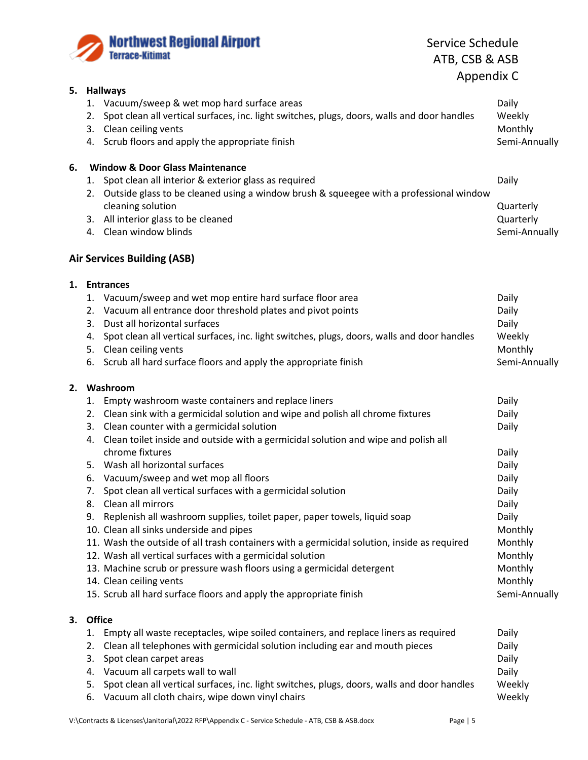

Service Schedule ATB, CSB & ASB Appendix C

| 5. | <b>Hallways</b>                                                                                   |                |  |  |
|----|---------------------------------------------------------------------------------------------------|----------------|--|--|
|    | 1. Vacuum/sweep & wet mop hard surface areas                                                      | Daily          |  |  |
|    | Spot clean all vertical surfaces, inc. light switches, plugs, doors, walls and door handles<br>2. | Weekly         |  |  |
|    | 3. Clean ceiling vents                                                                            | Monthly        |  |  |
|    | 4. Scrub floors and apply the appropriate finish                                                  | Semi-Annually  |  |  |
|    |                                                                                                   |                |  |  |
| 6. | <b>Window &amp; Door Glass Maintenance</b>                                                        |                |  |  |
|    | 1. Spot clean all interior & exterior glass as required                                           | Daily          |  |  |
|    | 2. Outside glass to be cleaned using a window brush & squeegee with a professional window         |                |  |  |
|    | cleaning solution                                                                                 | Quarterly      |  |  |
|    | 3. All interior glass to be cleaned                                                               | Quarterly      |  |  |
|    | 4. Clean window blinds                                                                            | Semi-Annually  |  |  |
|    | <b>Air Services Building (ASB)</b>                                                                |                |  |  |
|    |                                                                                                   |                |  |  |
|    | 1. Entrances                                                                                      |                |  |  |
|    | 1. Vacuum/sweep and wet mop entire hard surface floor area                                        | Daily          |  |  |
|    | Vacuum all entrance door threshold plates and pivot points<br>2.                                  | Daily          |  |  |
|    | Dust all horizontal surfaces<br>3.                                                                | Daily          |  |  |
|    | 4. Spot clean all vertical surfaces, inc. light switches, plugs, doors, walls and door handles    | Weekly         |  |  |
|    | 5. Clean ceiling vents                                                                            | Monthly        |  |  |
|    | 6. Scrub all hard surface floors and apply the appropriate finish                                 | Semi-Annually  |  |  |
| 2. | Washroom                                                                                          |                |  |  |
|    | Empty washroom waste containers and replace liners<br>1.                                          | Daily          |  |  |
|    | 2. Clean sink with a germicidal solution and wipe and polish all chrome fixtures                  | Daily          |  |  |
|    | 3. Clean counter with a germicidal solution                                                       | Daily          |  |  |
|    | Clean toilet inside and outside with a germicidal solution and wipe and polish all<br>4.          |                |  |  |
|    | chrome fixtures                                                                                   | Daily          |  |  |
|    | 5. Wash all horizontal surfaces                                                                   | Daily          |  |  |
|    | 6. Vacuum/sweep and wet mop all floors                                                            | Daily          |  |  |
|    | Spot clean all vertical surfaces with a germicidal solution<br>7.                                 | Daily          |  |  |
|    | 8. Clean all mirrors                                                                              | Daily          |  |  |
|    | 9. Replenish all washroom supplies, toilet paper, paper towels, liquid soap                       | Daily          |  |  |
|    | 10. Clean all sinks underside and pipes                                                           | Monthly        |  |  |
|    | 11. Wash the outside of all trash containers with a germicidal solution, inside as required       | Monthly        |  |  |
|    | 12. Wash all vertical surfaces with a germicidal solution                                         | Monthly        |  |  |
|    | 13. Machine scrub or pressure wash floors using a germicidal detergent                            | Monthly        |  |  |
|    | 14. Clean ceiling vents                                                                           | Monthly        |  |  |
|    | 15. Scrub all hard surface floors and apply the appropriate finish                                | Semi-Annually  |  |  |
|    |                                                                                                   |                |  |  |
|    |                                                                                                   |                |  |  |
| З. | Office                                                                                            |                |  |  |
|    | Empty all waste receptacles, wipe soiled containers, and replace liners as required<br>1.         | Daily          |  |  |
|    | Clean all telephones with germicidal solution including ear and mouth pieces<br>2.                | Daily          |  |  |
|    | Spot clean carpet areas<br>3.<br>4. Vacuum all carpets wall to wall                               | Daily<br>Daily |  |  |

- 5. Spot clean all vertical surfaces, inc. light switches, plugs, doors, walls and door handles Weekly
- 6. Vacuum all cloth chairs, wipe down vinyl chairs Mathematic Muslem and Meekly